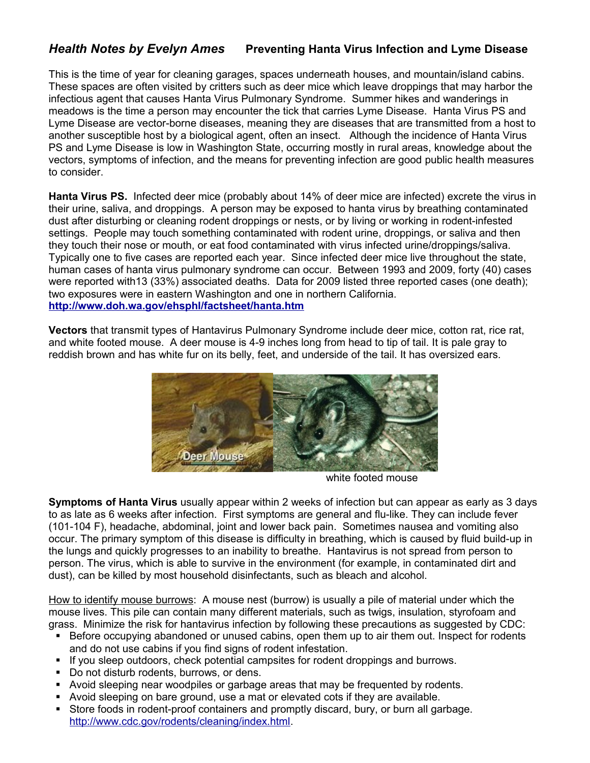## *Health Notes by Evelyn Ames* **Preventing Hanta Virus Infection and Lyme Disease**

This is the time of year for cleaning garages, spaces underneath houses, and mountain/island cabins. These spaces are often visited by critters such as deer mice which leave droppings that may harbor the infectious agent that causes Hanta Virus Pulmonary Syndrome. Summer hikes and wanderings in meadows is the time a person may encounter the tick that carries Lyme Disease. Hanta Virus PS and Lyme Disease are vector-borne diseases, meaning they are diseases that are transmitted from a host to another susceptible host by a biological agent, often an insect. Although the incidence of Hanta Virus PS and Lyme Disease is low in Washington State, occurring mostly in rural areas, knowledge about the vectors, symptoms of infection, and the means for preventing infection are good public health measures to consider.

**Hanta Virus PS.** Infected deer mice (probably about 14% of deer mice are infected) excrete the virus in their urine, saliva, and droppings. A person may be exposed to hanta virus by breathing contaminated dust after disturbing or cleaning rodent droppings or nests, or by living or working in rodent-infested settings. People may touch something contaminated with rodent urine, droppings, or saliva and then they touch their nose or mouth, or eat food contaminated with virus infected urine/droppings/saliva. Typically one to five cases are reported each year.Since infected deer mice live throughout the state, human cases of hanta virus pulmonary syndrome can occur. Between 1993 and 2009, forty (40) cases were reported with13 (33%) associated deaths. Data for 2009 listed three reported cases (one death); two exposures were in eastern Washington and one in northern California. **<http://www.doh.wa.gov/ehsphl/factsheet/hanta.htm>**

**Vectors** that transmit types of Hantavirus Pulmonary Syndrome include deer mice, cotton rat, rice rat, and white footed mouse. A deer mouse is 4-9 inches long from head to tip of tail. It is pale gray to reddish brown and has white fur on its belly, feet, and underside of the tail. It has oversized ears.



white footed mouse

**Symptoms of Hanta Virus** usually appear within 2 weeks of infection but can appear as early as 3 days to as late as 6 weeks after infection. First symptoms are general and flu-like. They can include fever (101-104 F), headache, abdominal, joint and lower back pain. Sometimes nausea and vomiting also occur. The primary symptom of this disease is difficulty in breathing, which is caused by fluid build-up in the lungs and quickly progresses to an inability to breathe. Hantavirus is not spread from person to person. The virus, which is able to survive in the environment (for example, in contaminated dirt and dust), can be killed by most household disinfectants, such as bleach and alcohol.

How to identify mouse burrows: A mouse nest (burrow) is usually a pile of material under which the mouse lives. This pile can contain many different materials, such as twigs, insulation, styrofoam and grass. Minimize the risk for hantavirus infection by following these precautions as suggested by CDC:

- Before occupying abandoned or unused cabins, open them up to air them out. Inspect for rodents and do not use cabins if you find signs of rodent infestation.
- If you sleep outdoors, check potential campsites for rodent droppings and burrows.
- Do not disturb rodents, burrows, or dens.
- Avoid sleeping near woodpiles or garbage areas that may be frequented by rodents.
- Avoid sleeping on bare ground, use a mat or elevated cots if they are available.
- Store foods in rodent-proof containers and promptly discard, bury, or burn all garbage. [http://www.cdc.gov/rodents/cleaning/index.html.](http://www.cdc.gov/rodents/cleaning/index.html)